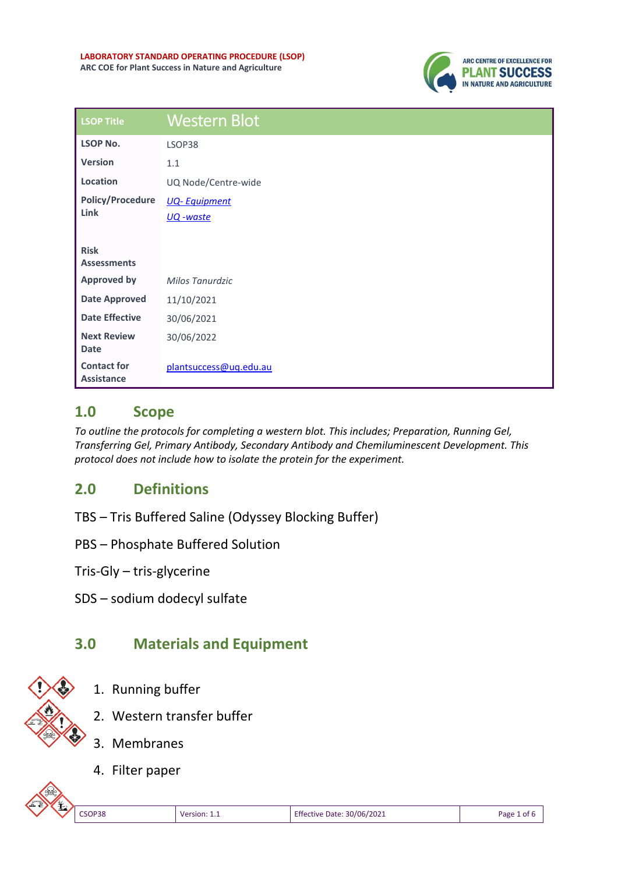

| <b>LSOP Title</b>                       | <b>Western Blot</b>    |
|-----------------------------------------|------------------------|
| <b>LSOP No.</b>                         | LSOP38                 |
| <b>Version</b>                          | 1.1                    |
| Location                                | UQ Node/Centre-wide    |
| <b>Policy/Procedure</b><br>Link         | <b>UQ-Equipment</b>    |
|                                         | UQ -waste              |
| <b>Risk</b><br><b>Assessments</b>       |                        |
| <b>Approved by</b>                      | Milos Tanurdzic        |
| <b>Date Approved</b>                    | 11/10/2021             |
| <b>Date Effective</b>                   | 30/06/2021             |
| <b>Next Review</b><br><b>Date</b>       | 30/06/2022             |
| <b>Contact for</b><br><b>Assistance</b> | plantsuccess@uq.edu.au |

## **1.0 Scope**

*To outline the protocols for completing a western blot. This includes; Preparation, Running Gel, Transferring Gel, Primary Antibody, Secondary Antibody and Chemiluminescent Development. This protocol does not include how to isolate the protein for the experiment.* 

# **2.0 Definitions**

- TBS Tris Buffered Saline (Odyssey Blocking Buffer)
- PBS Phosphate Buffered Solution
- Tris-Gly tris-glycerine
- SDS sodium dodecyl sulfate

# **3.0 Materials and Equipment**



- 1. Running buffer
- 2. Western transfer buffer
- 3. Membranes
- 4. Filter paper

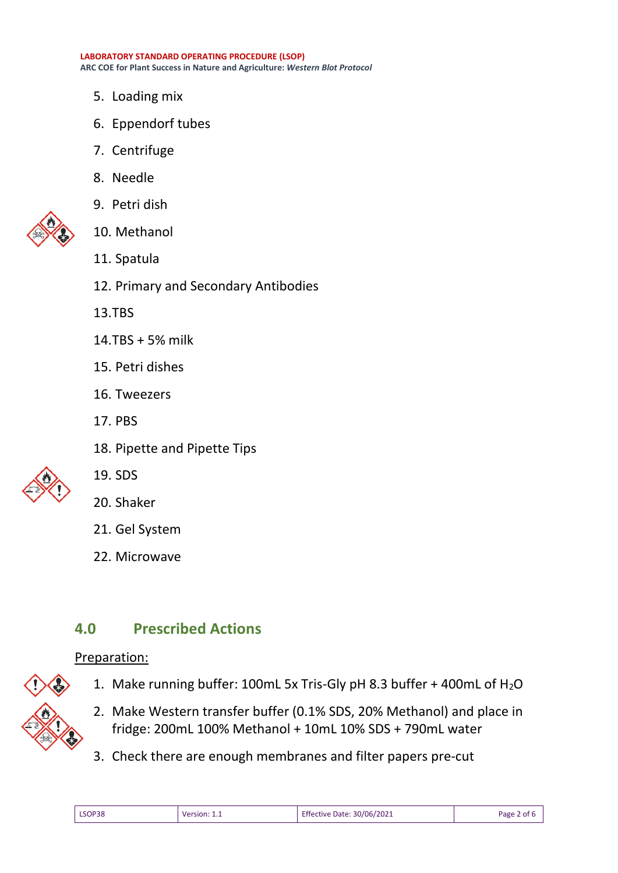**LABORATORY STANDARD OPERATING PROCEDURE (LSOP) ARC COE for Plant Success in Nature and Agriculture:** *Western Blot Protocol*

- 5. Loading mix
- 6. Eppendorf tubes
- 7. Centrifuge
- 8. Needle



- 9. Petri dish 10. Methanol
- 11. Spatula
- 12. Primary and Secondary Antibodies
- 13.TBS
- 14.TBS + 5% milk
- 15. Petri dishes
- 16. Tweezers
- 17. PBS
- 18. Pipette and Pipette Tips



19. SDS

#### 20. Shaker

- 21. Gel System
- 22. Microwave

## **4.0 Prescribed Actions**

#### Preparation:



- 1. Make running buffer: 100mL 5x Tris-Gly pH 8.3 buffer + 400mL of H<sub>2</sub>O
- 2. Make Western transfer buffer (0.1% SDS, 20% Methanol) and place in fridge: 200mL 100% Methanol + 10mL 10% SDS + 790mL water
- 3. Check there are enough membranes and filter papers pre-cut

| <b>Effective Date: 30/06/2021</b><br>LSOP38<br>Version: | Page<br>. of 6 |
|---------------------------------------------------------|----------------|
|---------------------------------------------------------|----------------|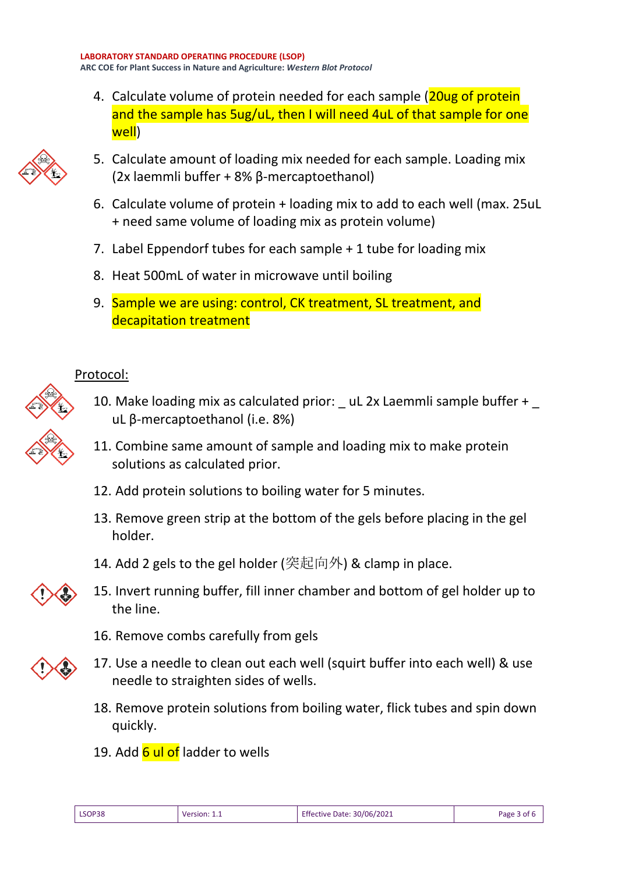4. Calculate volume of protein needed for each sample (20ug of protein and the sample has 5ug/uL, then I will need 4uL of that sample for one well)



- 5. Calculate amount of loading mix needed for each sample. Loading mix (2x laemmli buffer + 8% β-mercaptoethanol)
- 6. Calculate volume of protein + loading mix to add to each well (max. 25uL + need same volume of loading mix as protein volume)
- 7. Label Eppendorf tubes for each sample + 1 tube for loading mix
- 8. Heat 500mL of water in microwave until boiling
- 9. Sample we are using: control, CK treatment, SL treatment, and decapitation treatment

### Protocol:

- 10. Make loading mix as calculated prior: \_uL 2x Laemmli sample buffer + uL β-mercaptoethanol (i.e. 8%)
- 11. Combine same amount of sample and loading mix to make protein solutions as calculated prior.
- 12. Add protein solutions to boiling water for 5 minutes.
- 13. Remove green strip at the bottom of the gels before placing in the gel holder.
- 14. Add 2 gels to the gel holder (突起向外) & clamp in place.
- 15. Invert running buffer, fill inner chamber and bottom of gel holder up to the line.
	- 16. Remove combs carefully from gels
- 17. Use a needle to clean out each well (squirt buffer into each well) & use needle to straighten sides of wells.
	- 18. Remove protein solutions from boiling water, flick tubes and spin down quickly.
	- 19. Add 6 ul of ladder to wells

| LSOP38 | Version: 1.1 | Effective Date: 30/06/2021 | Page 3 of 6 |
|--------|--------------|----------------------------|-------------|
|        |              |                            |             |

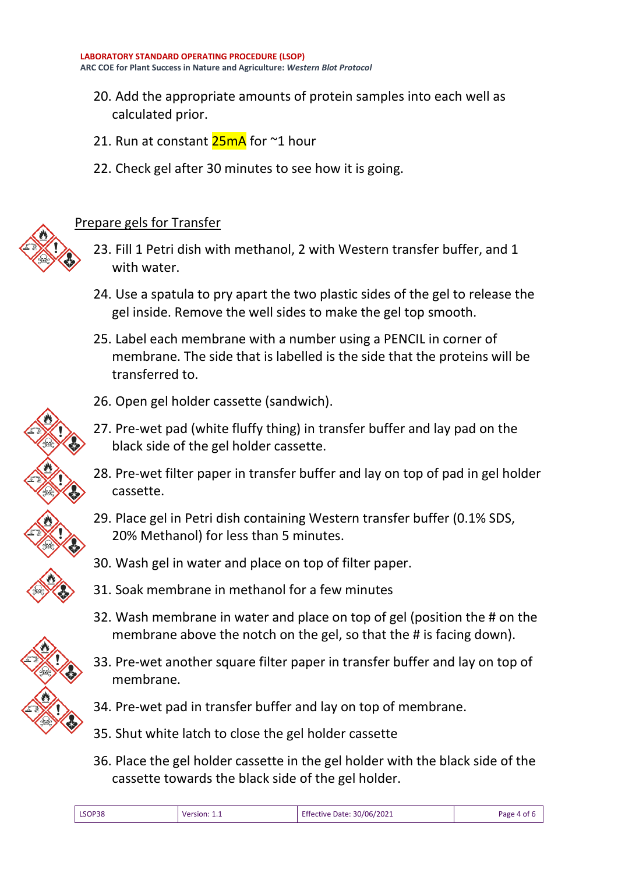- 20. Add the appropriate amounts of protein samples into each well as calculated prior.
- 21. Run at constant  $25mA$  for  $\sim$ 1 hour
- 22. Check gel after 30 minutes to see how it is going.





- 23. Fill 1 Petri dish with methanol, 2 with Western transfer buffer, and 1 with water.
- 24. Use a spatula to pry apart the two plastic sides of the gel to release the gel inside. Remove the well sides to make the gel top smooth.
- 25. Label each membrane with a number using a PENCIL in corner of membrane. The side that is labelled is the side that the proteins will be transferred to.



- 26. Open gel holder cassette (sandwich).
- 27. Pre-wet pad (white fluffy thing) in transfer buffer and lay pad on the black side of the gel holder cassette.
- 28. Pre-wet filter paper in transfer buffer and lay on top of pad in gel holder cassette.
- 29. Place gel in Petri dish containing Western transfer buffer (0.1% SDS, 20% Methanol) for less than 5 minutes.
- 30. Wash gel in water and place on top of filter paper.
- 31. Soak membrane in methanol for a few minutes
- 32. Wash membrane in water and place on top of gel (position the # on the membrane above the notch on the gel, so that the # is facing down).
- 33. Pre-wet another square filter paper in transfer buffer and lay on top of membrane.
- 34. Pre-wet pad in transfer buffer and lay on top of membrane.
- 35. Shut white latch to close the gel holder cassette
- 36. Place the gel holder cassette in the gel holder with the black side of the cassette towards the black side of the gel holder.

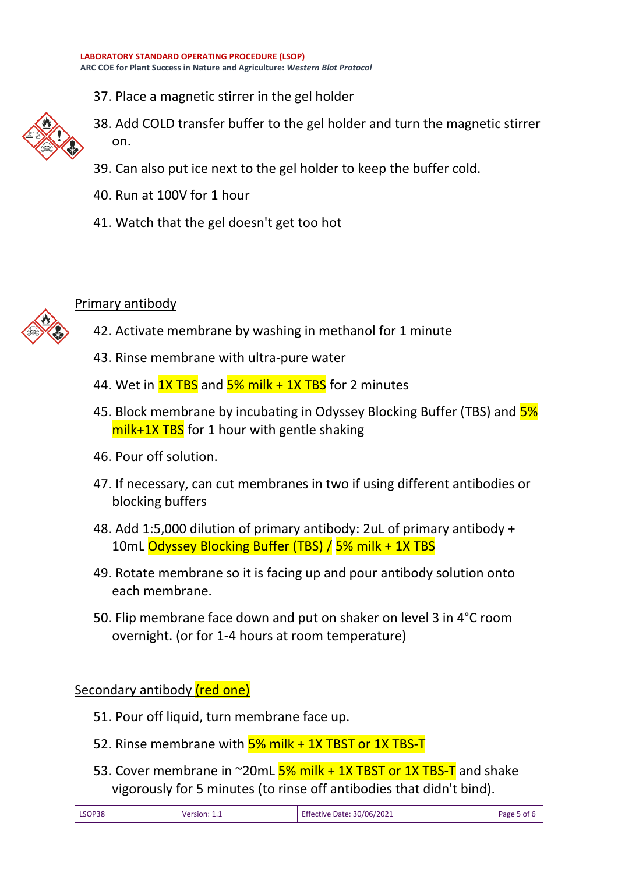37. Place a magnetic stirrer in the gel holder



- 38. Add COLD transfer buffer to the gel holder and turn the magnetic stirrer on.
- 39. Can also put ice next to the gel holder to keep the buffer cold.
- 40. Run at 100V for 1 hour
- 41. Watch that the gel doesn't get too hot



### Primary antibody

- 42. Activate membrane by washing in methanol for 1 minute
- 43. Rinse membrane with ultra-pure water
- 44. Wet in  $1X$  TBS and  $5%$  milk  $+1X$  TBS for 2 minutes
- 45. Block membrane by incubating in Odyssey Blocking Buffer (TBS) and  $\frac{5\%}{2\%}$  $milk+1X TBS$  for 1 hour with gentle shaking
- 46. Pour off solution.
- 47. If necessary, can cut membranes in two if using different antibodies or blocking buffers
- 48. Add 1:5,000 dilution of primary antibody: 2uL of primary antibody + 10mL Odyssey Blocking Buffer (TBS) / 5% milk + 1X TBS
- 49. Rotate membrane so it is facing up and pour antibody solution onto each membrane.
- 50. Flip membrane face down and put on shaker on level 3 in 4°C room overnight. (or for 1-4 hours at room temperature)

Secondary antibody (red one)

- 51. Pour off liquid, turn membrane face up.
- 52. Rinse membrane with  $\frac{5\%}{100}$  milk + 1X TBST or 1X TBS-T
- 53. Cover membrane in  $\sim$ 20mL  $5\%$  milk + 1X TBST or 1X TBS-T and shake vigorously for 5 minutes (to rinse off antibodies that didn't bind).

| LSOP38 | <b>Version:</b> 1.1 | Effective Date: 30/06/2021 | Page 5 of 6 |
|--------|---------------------|----------------------------|-------------|
|        |                     |                            |             |